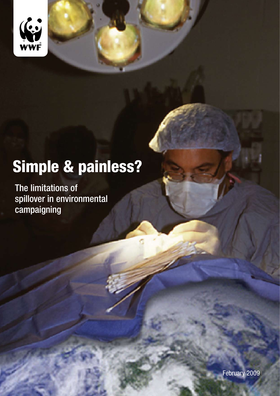

## Simple & painless?

April 2008

The limitations of spillover in environmental campaigning

February 2009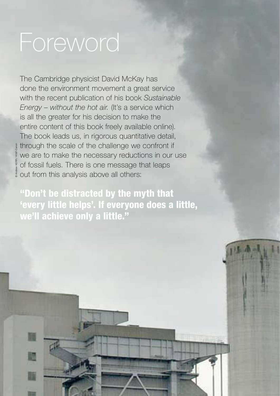# Foreword

© Andrew KERR / WWF-Canon

The Cambridge physicist David McKay has done the environment movement a great service with the recent publication of his book *Sustainable Energy – without the hot air.* (It's a service which is all the greater for his decision to make the entire content of this book freely available online). The book leads us, in rigorous quantitative detail, through the scale of the challenge we confront if we are to make the necessary reductions in our use of fossil fuels. There is one message that leaps  $\frac{2}{3}$  out from this analysis above all others:

"Don't be distracted by the myth that 'every little helps'. If everyone does a little, we'll achieve only a little."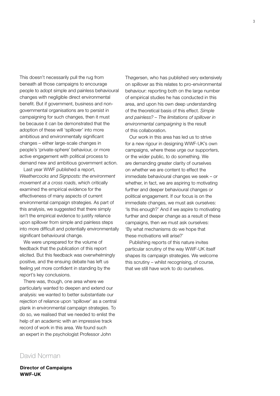This doesn't necessarily pull the rug from beneath all those campaigns to encourage people to adopt simple and painless behavioural changes with negligible direct environmental benefit. But if government, business and nongovernmental organisations are to persist in campaigning for such changes, then it must be because it can be demonstrated that the adoption of these will 'spillover' into more ambitious and environmentally significant changes – either large-scale changes in people's 'private-sphere' behaviour, or more active engagement with political process to demand new and ambitious government action.

Last year WWF published a report, *Weathercocks and Signposts: the environment movement at a cross roads*, which critically examined the empirical evidence for the effectiveness of many aspects of current environmental campaign strategies. As part of this analysis, we suggested that there simply isn't the empirical evidence to justify reliance upon spillover from simple and painless steps into more difficult and potentially environmentally significant behavioural change.

We were unprepared for the volume of feedback that the publication of this report elicited. But this feedback was overwhelmingly positive, and the ensuing debate has left us feeling yet more confident in standing by the report's key conclusions.

There was, though, one area where we particularly wanted to deepen and extend our analysis: we wanted to better substantiate our rejection of reliance upon 'spillover' as a central plank in environmental campaign strategies. To do so, we realised that we needed to enlist the help of an academic with an impressive track record of work in this area. We found such an expert in the psychologist Professor John

David Norman

Director of Campaigns WWF-UK

Thøgersen, who has published very extensively on spillover as this relates to pro-environmental behaviour: reporting both on the large number of empirical studies he has conducted in this area, and upon his own deep understanding of the theoretical basis of this effect. *Simple and painless? – The limitations of spillover in environmental campaigning* is the result of this collaboration.

Our work in this area has led us to strive for a new rigour in designing WWF-UK's own campaigns, where these urge our supporters, or the wider public, to do something. We are demanding greater clarity of ourselves on whether we are content to effect the immediate behavioural changes we seek – or whether, in fact, we are aspiring to motivating further and deeper behavioural changes or political engagement. If our focus is on the immediate changes, we must ask ourselves: 'Is this enough?' And if we aspire to motivating further and deeper change as a result of these campaigns, then we must ask ourselves: 'By what mechanisms do we hope that these motivations will arise?'

Publishing reports of this nature invites particular scrutiny of the way WWF-UK itself shapes its campaign strategies. We welcome this scrutiny – whilst recognising, of course, that we still have work to do ourselves.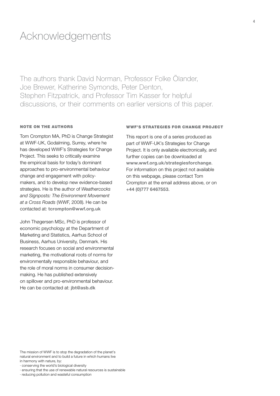### Acknowledgements

The authors thank David Norman, Professor Folke Ölander, Joe Brewer, Katherine Symonds, Peter Denton, Stephen Fitzpatrick, and Professor Tim Kasser for helpful discussions, or their comments on earlier versions of this paper.

#### Note on the authors

Tom Crompton MA, PhD is Change Strategist at WWF-UK, Godalming, Surrey, where he has developed WWF's Strategies for Change Project. This seeks to critically examine the empirical basis for today's dominant approaches to pro-environmental behaviour change and engagement with policymakers, and to develop new evidence-based strategies. He is the author of *Weathercocks and Signposts: The Environment Movement at a Cross Roads* (WWF, 2008). He can be contacted at: tcrompton@wwf.org.uk

John Thøgersen MSc, PhD is professor of economic psychology at the Department of Marketing and Statistics, Aarhus School of Business, Aarhus University, Denmark. His research focuses on social and environmental marketing, the motivational roots of norms for environmentally responsible behaviour, and the role of moral norms in consumer decisionmaking. He has published extensively on spillover and pro-environmental behaviour. He can be contacted at: jbt@asb.dk

#### WWF's Strategies for change Project

This report is one of a series produced as part of WWF-UK's Strategies for Change Project. It is only available electronically, and further copies can be downloaded at www.wwf.org.uk/strategiesforchange. For information on this project not available on this webpage, please contact Tom Crompton at the email address above, or on +44 (0)777 6467553.

· ensuring that the use of renewable natural resources is sustainable

The mission of WWF is to stop the degradation of the planet's natural environment and to build a future in which humans live in harmony with nature, by:

<sup>·</sup> conserving the world's biological diversity

<sup>·</sup> reducing pollution and wasteful consumption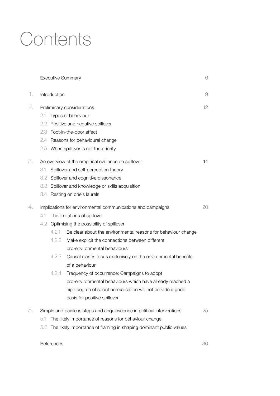## **Contents**

|    | <b>Executive Summary</b>                                                  | 6  |
|----|---------------------------------------------------------------------------|----|
| 1. | Introduction                                                              | 9  |
| 2. | Preliminary considerations                                                | 12 |
|    | 2.1<br>Types of behaviour                                                 |    |
|    | Positive and negative spillover<br>2.2                                    |    |
|    | 2.3 Foot-in-the-door effect                                               |    |
|    | 2.4 Reasons for behavioural change                                        |    |
|    | 2.5 When spillover is not the priority                                    |    |
| 3. | An overview of the empirical evidence on spillover                        | 14 |
|    | Spillover and self-perception theory<br>3.1                               |    |
|    | 3.2 Spillover and cognitive dissonance                                    |    |
|    | 3.3 Spillover and knowledge or skills acquisition                         |    |
|    | 3.4 Resting on one's laurels                                              |    |
| 4. | Implications for environmental communications and campaigns               | 20 |
|    | 4.1<br>The limitations of spillover                                       |    |
|    | 4.2 Optimising the possibility of spillover                               |    |
|    | 4.2.1<br>Be clear about the environmental reasons for behaviour change    |    |
|    | 4.2.2<br>Make explicit the connections between different                  |    |
|    | pro-environmental behaviours                                              |    |
|    | 4.2.3<br>Causal clarity: focus exclusively on the environmental benefits  |    |
|    | of a behaviour                                                            |    |
|    | 4.2.4<br>Frequency of occurrence: Campaigns to adopt                      |    |
|    | pro-environmental behaviours which have already reached a                 |    |
|    | high degree of social normalisation will not provide a good               |    |
|    | basis for positive spillover                                              |    |
| 5. | Simple and painless steps and acquiescence in political interventions     | 25 |
|    | The likely importance of reasons for behaviour change<br>5.1              |    |
|    | 5.2<br>The likely importance of framing in shaping dominant public values |    |
|    |                                                                           |    |

References 30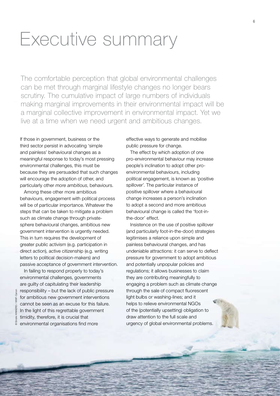### Executive summary

The comfortable perception that global environmental challenges can be met through marginal lifestyle changes no longer bears scrutiny. The cumulative impact of large numbers of individuals making marginal improvements in their environmental impact will be a marginal collective improvement in environmental impact. Yet we live at a time when we need urgent and ambitious changes.

If those in government, business or the third sector persist in advocating 'simple and painless' behavioural changes as a meaningful response to today's most pressing environmental challenges, this must be because they are persuaded that such changes will encourage the adoption of other, and particularly other *more ambitious*, behaviours.

Among these other more ambitious behaviours, engagement with political process will be of particular importance. Whatever the steps that can be taken to mitigate a problem such as climate change through privatesphere behavioural changes, ambitious new government intervention is urgently needed. This in turn requires the development of greater public activism (e.g. participation in direct action), active citizenship (e.g. writing letters to political decision-makers) and passive acceptance of government intervention.

In failing to respond properly to today's environmental challenges, governments are guilty of capitulating their leadership responsibility – but the lack of public pressure for ambitious new government interventions cannot be seen as an excuse for this failure. In the light of this regrettable government timidity, therefore, it is crucial that environmental organisations find more

#### effective ways to generate and mobilise public pressure for change.

The effect by which adoption of one pro-environmental behaviour may increase people's inclination to adopt other proenvironmental behaviours, including political engagement, is known as 'positive spillover'. The particular instance of positive spillover where a behavioural change increases a person's inclination to adopt a second and more ambitious behavioural change is called the 'foot-inthe-door' effect.

Insistence on the use of positive spillover (and particularly foot-in-the-door) strategies legitimises a reliance upon simple and painless behavioural changes, and has undeniable attractions: it can serve to deflect pressure for government to adopt ambitious and potentially unpopular policies and regulations; it allows businesses to claim they are contributing meaningfully to engaging a problem such as climate change through the sale of compact fluorescent light bulbs or washing-lines; and it helps to relieve environmental NGOs of the (potentially upsetting) obligation to draw attention to the full scale and urgency of global environmental problems.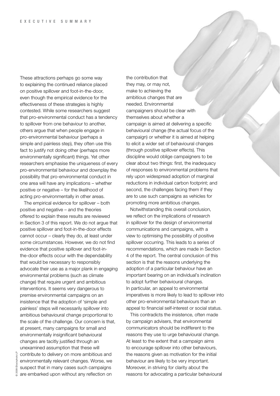These attractions perhaps go some way to explaining the continued reliance placed on positive spillover and foot-in-the-door, even though the empirical evidence for the effectiveness of these strategies is highly contested. While some researchers suggest that pro-environmental conduct has a tendency to spillover from one behaviour to another, others argue that when people engage in pro-environmental behaviour (perhaps a simple and painless step), they often use this fact to justify not doing other (perhaps more environmentally significant) things. Yet other researchers emphasise the uniqueness of every pro-environmental behaviour and downplay the possibility that pro-environmental conduct in one area will have any implications – whether positive or negative – for the likelihood of acting pro-environmentally in other areas.

The empirical evidence for spillover – both positive and negative – and the theories offered to explain these results are reviewed in Section 3 of this report. We do not argue that positive spillover and foot-in-the-door effects cannot occur – clearly they do, at least under some circumstances. However, we do not find evidence that positive spillover and foot-inthe-door effects occur with the dependability that would be necessary to responsibly advocate their use as a major plank in engaging environmental problems (such as climate change) that require urgent and ambitious interventions. It seems very dangerous to premise environmental campaigns on an insistence that the adoption of 'simple and painless' steps will necessarily spillover into ambitious behavioural change proportional to the scale of the challenge. Our concern is that, at present, many campaigns for small and environmentally insignificant behavioural changes are tacitly justified through an unexamined assumption that these will

contribute to delivery on more ambitious and environmentally relevant changes. Worse, we suspect that in many cases such campaigns are embarked upon without any reflection on

© 2009 iStockphoto LP

the contribution that they may, or may not, make to achieving the ambitious changes that are needed. Environmental campaigners should be clear with themselves about whether a campaign is aimed at delivering a specific behavioural change (the actual focus of the campaign) or whether it is aimed at helping to elicit a wider set of behavioural changes (through positive spillover effects). This discipline would oblige campaigners to be clear about two things: first, the inadequacy of responses to environmental problems that rely upon widespread adoption of marginal reductions in individual carbon footprint; and second, the challenges facing them if they are to use such campaigns as vehicles for promoting more ambitious changes.

Notwithstanding this overall conclusion, we reflect on the implications of research in spillover for the design of environmental communications and campaigns, with a view to optimising the possibility of positive spillover occurring. This leads to a series of recommendations, which are made in Section 4 of the report. The central conclusion of this section is that the reasons underlying the adoption of a particular behaviour have an important bearing on an individual's inclination to adopt further behavioural changes. In particular, an appeal to environmental imperatives is more likely to lead to spillover into other pro-environmental behaviours than an appeal to financial self-interest or social status.

This contradicts the insistence, often made by campaign advisers, that environmental communicators should be indifferent to the reasons they use to urge behavioural change. At least to the extent that a campaign aims to encourage spillover into other behaviours, the reasons given as motivation for the initial behaviour are likely to be very important. Moreover, in striving for clarity about the reasons for advocating a particular behavioural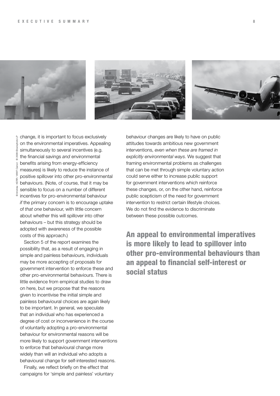

© Andrew KERR / WWF-Canon © 2009 iStockphoto LP

KERR

Ğ





change, it is important to focus exclusively on the environmental imperatives. Appealing simultaneously to several incentives (e.g. the financial savings *and* environmental benefits arising from energy-efficiency measures) is likely to reduce the instance of positive spillover into other pro-environmental behaviours. (Note, of course, that it may be sensible to focus on a number of different incentives for pro-environmental behaviour

*if* the primary concern is to encourage uptake of *that one* behaviour, with little concern about whether this will spillover into other behaviours – but this strategy should be adopted with awareness of the possible costs of this approach.)

Section 5 of the report examines the possibility that, as a result of engaging in simple and painless behaviours, individuals may be more accepting of proposals for government intervention to enforce these and other pro-environmental behaviours. There is little evidence from empirical studies to draw on here, but we propose that the reasons given to incentivise the initial simple and painless behavioural choices are again likely to be important. In general, we speculate that an individual who has experienced a degree of cost or inconvenience in the course of voluntarily adopting a pro-environmental behaviour for environmental reasons will be more likely to support government interventions to enforce that behavioural change more widely than will an individual who adopts a behavioural change for self-interested reasons.

Finally, we reflect briefly on the effect that campaigns for 'simple and painless' voluntary behaviour changes are likely to have on public attitudes towards ambitious new government interventions, *even when these are framed in explicitly environmental ways*. We suggest that framing environmental problems as challenges that can be met through simple voluntary action could serve either to increase public support for government interventions which reinforce these changes, or, on the other hand, reinforce public scepticism of the need for government intervention to restrict certain lifestyle choices. We do not find the evidence to discriminate between these possible outcomes.

An appeal to environmental imperatives is more likely to lead to spillover into other pro-environmental behaviours than an appeal to financial self-interest or social status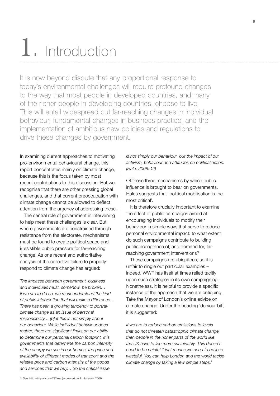# 1. Introduction

It is now beyond dispute that any proportional response to today's environmental challenges will require profound changes to the way that most people in developed countries, and many of the richer people in developing countries, choose to live. This will entail widespread but far-reaching changes in individual behaviour, fundamental changes in business practice, and the implementation of ambitious new policies and regulations to drive these changes by government.

In examining current approaches to motivating pro-environmental behavioural change, this report concentrates mainly on climate change, because this is the focus taken by most recent contributions to this discussion. But we recognise that there are other pressing global challenges, and that current preoccupation with climate change cannot be allowed to deflect attention from the urgency of addressing these.

The central role of government in intervening to help meet these challenges is clear. But where governments are constrained through resistance from the electorate, mechanisms must be found to create political space and irresistible public pressure for far-reaching change. As one recent and authoritative analysis of the collective failure to properly respond to climate change has argued:

*The impasse between government, business and individuals must, somehow, be broken… If we are to do so, we must understand the kind of public intervention that will make a difference… There has been a growing tendency to portray climate change as an issue of personal responsibility… [b]ut this is not simply about our behaviour. While individual behaviour does matter, there are significant limits on our ability to determine our personal carbon footprint. It is governments that determine the carbon intensity of the energy we use in our homes, the price and availability of different modes of transport and the relative price and carbon intensity of the goods and services that we buy… So the critical issue* 

*is not simply our behaviour, but the impact of our activism, behaviour and attitudes on political action. (Hale, 2008: 12)*

Of these three mechanisms by which public influence is brought to bear on governments, Hales suggests that 'political mobilisation is the most critical'.

It is therefore crucially important to examine the effect of public campaigns aimed at encouraging individuals to modify their behaviour in simple ways that serve to reduce personal environmental impact: to what extent do such campaigns contribute to building public acceptance of, and demand for, farreaching government interventions?

These campaigns are ubiquitous, so it is unfair to single out particular examples – indeed, WWF has itself at times relied tacitly upon such strategies in its own campaigning. Nonetheless, it is helpful to provide a specific instance of the approach that we are critiquing. Take the Mayor of London's online advice on climate change. Under the heading 'do your bit', it is suggested:

*If we are to reduce carbon emissions to levels that do not threaten catastrophic climate change, then people in the richer parts of the world like the UK have to live more sustainably. This doesn't need to be painful it just means we need to be less wasteful. You can help London and the world tackle climate change by taking a few simple steps.1*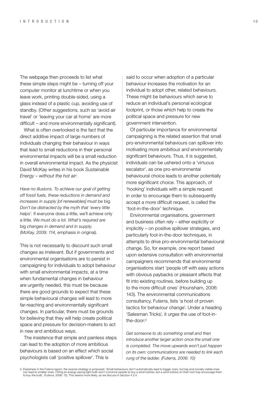The webpage then proceeds to list what these simple steps might be – turning off your computer monitor at lunchtime or when you leave work, printing double-sided, using a glass instead of a plastic cup, avoiding use of standby. (Other suggestions, such as 'avoid air travel' or 'leaving your car at home' are more difficult – and more environmentally significant).

What is often overlooked is the fact that the direct additive impact of large numbers of individuals changing their behaviour in ways that lead to small reductions in their personal environmental impacts will be a small reduction in overall environmental impact. As the physicist David McKay writes in his book *Sustainable Energy – without the hot air*:

*Have no illusions. To achieve our goal of getting off fossil fuels, these reductions in demand and increases in supply [of renewables] must be* big*. Don't be distracted by the myth that 'every little helps'.* If everyone does a little, we'll achieve only a little. *We must do a lot. What's required are*  big *changes in demand and in supply. (McKay, 2009: 114,* emphasis in original*).*

This is not necessarily to discount such small changes as irrelevant. But if governments and environmental organisations are to persist in campaigning for individuals to adopt behaviour with small environmental impacts, at a time when fundamental changes in behaviour are urgently needed, this must be because there are good grounds to expect that these simple behavioural changes will lead to more far-reaching and environmentally significant changes. In particular, there must be grounds for believing that they will help create political space and pressure for decision-makers to act in new and ambitious ways.

The insistence that simple and painless steps can lead to the adoption of more ambitious behaviours is based on an effect which social psychologists call 'positive spillover'. This is

said to occur when adoption of a particular behaviour increases the motivation for an individual to adopt other, related behaviours. These might be behaviours which serve to reduce an individual's personal ecological footprint, or those which help to create the political space and pressure for new government intervention.

Of particular importance for environmental campaigning is the related assertion that small pro-environmental behaviours can spillover into motivating *more ambitious* and environmentally significant behaviours. Thus, it is suggested. individuals can be ushered onto a 'virtuous escalator', as one pro-environmental behavioural choice leads to another potentially more significant choice. This approach, of 'hooking' individuals with a simple request in order to encourage them to subsequently accept a more difficult request, is called the 'foot-in-the-door' technique.

Environmental organisations, government and business often rely – either explicitly or implicitly – on positive spillover strategies, and particularly foot-in-the-door techniques, in attempts to drive pro-environmental behavioural change. So, for example, one report based upon extensive consultation with environmental campaigners recommends that environmental organisations start 'people off with easy actions with obvious paybacks or pleasant effects that fit into existing routines, before building up to the more difficult ones' (Hounsham, 2006: 143). The environmental communications consultancy, Futerra, lists 'a host of proven tactics for behaviour change'. Under a heading 'Salesman Tricks'*,* it urges the use of foot-inthe-door:2

*Get someone to do something small and then introduce another larger action once the small one is completed. The move upwards won't just happen on its own: communications are needed to link each rung of the ladder. (Futerra, 2006: 10)*

<sup>2.</sup> Elsewhere in the Futerra report, the reverse strategy is proposed: 'Small behaviours don't automatically lead to bigger ones, but big and socially visible ones<br>can lead to smaller ones. Fitting an energy saving light bu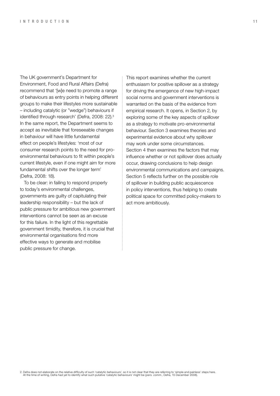The UK government's Department for Environment, Food and Rural Affairs (Defra) recommend that '[w]e need to promote a range of behaviours as entry points in helping different groups to make their lifestyles more sustainable – including catalytic (or "wedge") behaviours if identified through research' (Defra, 2008: 22).<sup>3</sup> In the same report, the Department seems to accept as inevitable that foreseeable changes in behaviour will have little fundamental effect on people's lifestyles: 'most of our consumer research points to the need for proenvironmental behaviours to fit within people's current lifestyle, even if one might aim for more fundamental shifts over the longer term' (Defra, 2008: 18).

To be clear: in failing to respond properly to today's environmental challenges, governments are guilty of capitulating their leadership responsibility – but the lack of public pressure for ambitious new government interventions cannot be seen as an excuse for this failure. In the light of this regrettable government timidity, therefore, it is crucial that environmental organisations find more effective ways to generate and mobilise public pressure for change.

This report examines whether the current enthusiasm for positive spillover as a strategy for driving the emergence of new high-impact social norms and government interventions is warranted on the basis of the evidence from empirical research. It opens, in Section 2, by exploring some of the key aspects of spillover as a strategy to motivate pro-environmental behaviour. Section 3 examines theories and experimental evidence about why spillover may work under some circumstances. Section 4 then examines the factors that may influence whether or not spillover does actually occur, drawing conclusions to help design environmental communications and campaigns. Section 5 reflects further on the possible role of spillover in building public acquiescence in policy interventions, thus helping to create political space for committed policy-makers to act more ambitiously.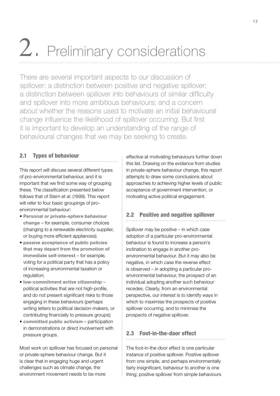# 2. Preliminary considerations

There are several important aspects to our discussion of spillover: a distinction between positive and negative spillover; a distinction between spillover into behaviours of similar difficulty and spillover into more ambitious behaviours; and a concern about whether the reasons used to motivate an initial behavioural change influence the likelihood of spillover occurring. But first it is important to develop an understanding of the range of behavioural changes that we may be seeking to create.

#### 2.1 Types of behaviour

This report will discuss several different types of pro-environmental behaviour, and it is important that we find some way of grouping these. The classification presented below follows that of Stern *et al*. (1999). This report will refer to four basic groupings of proenvironmental behaviour:

- Personal or private-sphere behaviour change – for example, consumer choices (changing to a renewable electricity supplier, or buying more efficient appliances);
- passive acceptance of public policies that may depart from the promotion of immediate self-interest – for example, voting for a political party that has a policy of increasing environmental taxation or regulation;
- low-commitment active citizenship political activities that are not high-profile, and do not present significant risks to those engaging in these behaviours (perhaps writing letters to political decision-makers, or contributing financially to pressure groups);
- committed public activism participation in demonstrations or direct involvement with pressure groups.

Most work on spillover has focused on personal or private-sphere behaviour change. But it is clear that in engaging huge and urgent challenges such as climate change, the environment movement needs to be more

effective at motivating behaviours further down this list. Drawing on the evidence from studies in private-sphere behaviour change, this report attempts to draw some conclusions about approaches to achieving higher levels of public acceptance of government intervention, or motivating active political engagement.

#### 2.2 Positive and negative spillover

Spillover may be positive – in which case adoption of a particular pro-environmental behaviour is found to increase a person's inclination to engage in another proenvironmental behaviour. But it may also be negative, in which case the reverse effect is observed – in adopting a particular proenvironmental behaviour, the prospect of an individual adopting another such behaviour recedes. Clearly, from an environmental perspective, our interest is to identify ways in which to maximise the prospects of positive spillover occurring, and to minimise the prospects of negative spillover.

#### 2.3 Foot-in-the-door effect

The foot-in-the-door effect is one particular instance of positive spillover. Positive spillover from one simple, and perhaps environmentally fairly insignificant, behaviour to another is one thing; positive spillover from simple behaviours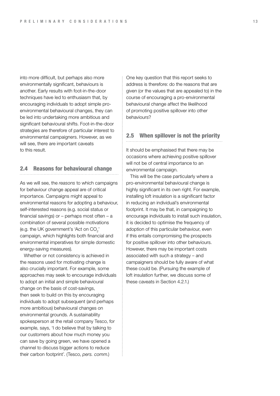into more difficult, but perhaps also more environmentally significant, behaviours is another. Early results with foot-in-the-door techniques have led to enthusiasm that, by encouraging individuals to adopt simple proenvironmental behavioural changes, they can be led into undertaking more ambitious and significant behavioural shifts. Foot-in-the-door strategies are therefore of particular interest to environmental campaigners. However, as we will see, there are important caveats to this result.

#### 2.4 Reasons for behavioural change

As we will see, the *reasons* to which campaigns for behaviour change appeal are of critical importance. Campaigns might appeal to environmental reasons for adopting a behaviour, self-interested reasons (e.g. social status or financial savings) or – perhaps most often – a combination of several possible motivations (e.g. the UK government's 'Act on CO $_2^{\prime}$ ' campaign, which highlights both financial and environmental imperatives for simple domestic energy-saving measures).

Whether or not consistency is achieved in the reasons used for motivating change is also crucially important. For example, some approaches may seek to encourage individuals to adopt an initial and simple behavioural change on the basis of cost-savings, then seek to build on this by encouraging individuals to adopt subsequent (and perhaps more ambitious) behavioural changes on environmental grounds. A sustainability spokesperson at the retail company Tesco, for example, says, 'I do believe that by talking to our customers about how much money you can save by going green, we have opened a channel to discuss bigger actions to reduce their carbon footprint'. (Tesco, *pers. comm*.)

One key question that this report seeks to address is therefore: do the reasons that are given (or the values that are appealed to) in the course of encouraging a pro-environmental behavioural change affect the likelihood of promoting positive spillover into other behaviours?

#### 2.5 When spillover is not the priority

It should be emphasised that there may be occasions where achieving positive spillover will not be of central importance to an environmental campaign.

This will be the case particularly where a pro-environmental behavioural change is highly significant in its own right. For example, installing loft insulation is a significant factor in reducing an individual's environmental footprint. It may be that, in campaigning to encourage individuals to install such insulation, it is decided to optimise the frequency of adoption of this particular behaviour, even if this entails compromising the prospects for positive spillover into other behaviours. However, there may be important costs associated with such a strategy – and campaigners should be fully aware of what these could be. (Pursuing the example of loft insulation further, we discuss some of these caveats in Section 4.2.1.)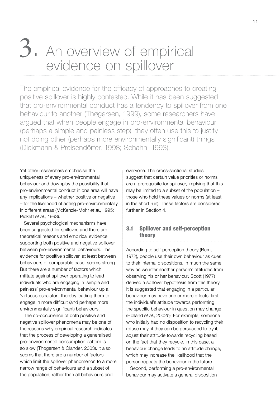### 3. An overview of empirical evidence on spillover

The empirical evidence for the efficacy of approaches to creating positive spillover is highly contested. While it has been suggested that pro-environmental conduct has a tendency to spillover from one behaviour to another (Thøgersen, 1999), some researchers have argued that when people engage in pro-environmental behaviour (perhaps a simple and painless step), they often use this to justify not doing other (perhaps more environmentally significant) things (Diekmann & Preisendörfer, 1998; Schahn, 1993).

Yet other researchers emphasise the uniqueness of every pro-environmental behaviour and downplay the possibility that pro-environmental conduct in one area will have any implications – whether positive or negative – for the likelihood of acting pro-environmentally in different areas (McKenzie-Mohr *et al*., 1995; Pickett *et al.,* 1993).

Several psychological mechanisms have been suggested for spillover, and there are theoretical reasons and empirical evidence supporting both positive and negative spillover between pro-environmental behaviours. The evidence for positive spillover, at least between behaviours of comparable ease, seems strong. But there are a number of factors which militate against spillover operating to lead individuals who are engaging in 'simple and painless' pro-environmental behaviour up a 'virtuous escalator', thereby leading them to engage in more difficult (and perhaps more environmentally significant) behaviours.

The co-occurrence of both positive and negative spillover phenomena may be one of the reasons why empirical research indicates that the process of developing a generalised pro-environmental consumption pattern is so slow (Thøgersen & Ölander, 2003). It also seems that there are a number of factors which limit the spillover phenomenon to a more narrow range of behaviours and a subset of the population, rather than all behaviours and

everyone. The cross-sectional studies suggest that certain value priorities or norms are a prerequisite for spillover, implying that this may be limited to a subset of the population – those who hold these values or norms (at least in the short run). These factors are considered further in Section 4.

#### 3.1 Spillover and self-perception theory

According to self-perception theory (Bem, 1972), people use their own behaviour as cues to their internal dispositions, in much the same way as we infer another person's attitudes from observing his or her behaviour. Scott (1977) derived a spillover hypothesis from this theory. It is suggested that engaging in a particular behaviour may have one or more effects: first, the individual's attitude towards performing the specific behaviour in question may change (Holland *et al*., 2002b). For example, someone who initially had no disposition to recycling their refuse may, if they can be persuaded to try it, adjust their attitude towards recycling based on the fact that they recycle. In this case, a behaviour change leads to an attitude change, which may increase the likelihood that the person repeats the behaviour in the future.

Second, performing a pro-environmental behaviour may activate a general disposition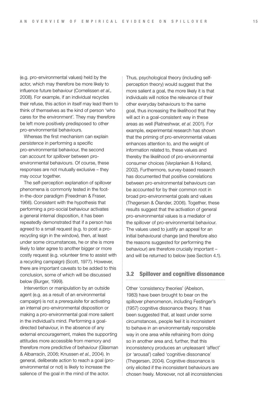(e.g. pro-environmental values) held by the actor, which may therefore be more likely to influence future behaviour (Cornelissen *et al*., 2008). For example, if an individual recycles their refuse, this action in itself may lead them to think of themselves as the kind of person 'who cares for the environment'. They may therefore be left more positively predisposed to other pro-environmental behaviours.

Whereas the first mechanism can explain *persistence* in performing a specific pro-environmental behaviour, the second can account for *spillover* between proenvironmental behaviours. Of course, these responses are not mutually exclusive – they may occur together.

The self-perception explanation of spillover phenomena is commonly tested in the footin-the-door paradigm (Freedman & Fraser, 1966). Consistent with the hypothesis that performing a pro-social behaviour activates a general internal disposition, it has been repeatedly demonstrated that if a person has agreed to a small request (e.g. to post a prorecycling sign in the window), then, at least under some circumstances, he or she is more likely to later agree to another bigger or more costly request (e.g. volunteer time to assist with a recycling campaign) (Scott, 1977). However, there are important caveats to be added to this conclusion, some of which will be discussed below (Burger, 1999).

Intervention or manipulation by an outside agent (e.g. as a result of an environmental campaign) is not a prerequisite for activating an internal pro-environmental disposition or making a pro-environmental goal more salient in the individual's mind. Performing a goaldirected behaviour, in the absence of any external encouragement, makes the supporting attitudes more accessible from memory and therefore more predictive of behaviour (Glasman & Albarracín, 2006; Knussen *et al.*, 2004). In general, deliberate action to reach a goal (proenvironmental or not) is likely to increase the salience of the goal in the mind of the actor.

Thus, psychological theory (including selfperception theory) would suggest that the more salient a goal, the more likely it is that individuals will notice the relevance of their other everyday behaviours to the same goal, thus increasing the likelihood that they will act in a goal-consistent way in these areas as well (Ratneshwar, *et al*. 2001). For example, experimental research has shown that the priming of pro-environmental values enhances attention to, and the weight of information related to, these values and thereby the likelihood of pro-environmental consumer choices (Verplanken & Holland, 2002). Furthermore, survey-based research has documented that positive correlations between pro-environmental behaviours can be accounted for by their common root in broad pro-environmental goals and values (Thøgersen & Ölander, 2006). Together, these results suggest that the activation of general pro-environmental values is a mediator of the spillover of pro-environmental behaviour. The values used to justify an appeal for an initial behavioural change (and therefore also the reasons suggested for performing the behaviour) are therefore crucially important – and will be returned to below (see Section 4.1).

#### 3.2 Spillover and cognitive dissonance

Other 'consistency theories' (Abelson, 1983) have been brought to bear on the spillover phenomenon, including Festinger's (1957) cognitive dissonance theory. It has been suggested that, at least under some circumstances, people feel it is inconsistent to behave in an environmentally responsible way in one area while refraining from doing so in another area and, further, that this inconsistency produces an unpleasant 'affect' (or 'arousal') called 'cognitive dissonance' (Thøgersen, 2004). Cognitive dissonance is only elicited if the inconsistent behaviours are chosen freely. Moreover, not all inconsistencies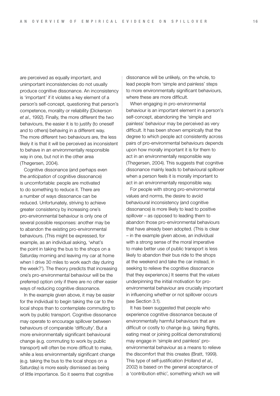are perceived as equally important, and unimportant inconsistencies do not usually produce cognitive dissonance. An inconsistency is 'important' if it violates a key element of a person's self-concept, questioning that person's competence, morality or reliability (Dickerson *et al*., 1992). Finally, the more different the two behaviours, the easier it is to justify (to oneself and to others) behaving in a different way. The more different two behaviours are, the less likely it is that it will be perceived as inconsistent to behave in an environmentally responsible way in one, but not in the other area (Thøgersen, 2004).

Cognitive dissonance (and perhaps even the *anticipation* of cognitive dissonance) is uncomfortable: people are motivated to do something to reduce it. There are a number of ways dissonance can be reduced. Unfortunately, striving to achieve greater consistency by increasing one's pro-environmental behaviour is only one of several possible responses: another may be to abandon the existing pro-environmental behaviours. (This might be expressed, for example, as an individual asking, 'what's the point in taking the bus to the shops on a Saturday morning and leaving my car at home when I drive 30 miles to work each day during the week?'). The theory predicts that increasing one's pro-environmental behaviour will be the preferred option only if there are no other easier ways of reducing cognitive dissonance.

In the example given above, it may be easier for the individual to begin taking the car to the local shops than to contemplate commuting to work by public transport. Cognitive dissonance may operate to encourage spillover between behaviours of comparable 'difficulty'. But a more environmentally significant behavioural change (e.g. commuting to work by public transport) will often be more difficult to make, while a less environmentally significant change (e.g. taking the bus to the local shops on a Saturday) is more easily dismissed as being of little importance. So it seems that cognitive

dissonance will be unlikely, on the whole, to lead people from 'simple and painless' steps to more environmentally significant behaviours, where these are more difficult.

When engaging in pro-environmental behaviour is an important element in a person's self-concept, abandoning the 'simple and painless' behaviour may be perceived as very difficult. It has been shown empirically that the degree to which people act consistently across pairs of pro-environmental behaviours depends upon how morally important it is for them to act in an environmentally responsible way (Thøgersen, 2004). This suggests that cognitive dissonance mainly leads to behavioural spillover when a person feels it is morally important to act in an environmentally responsible way.

For people with strong pro-environmental values and norms, the desire to avoid behavioural inconsistency (and cognitive dissonance) is more likely to lead to positive spillover – as opposed to leading them to abandon those pro-environmental behaviours that have already been adopted. (This is clear – in the example given above, an individual with a strong sense of the moral imperative to make better use of public transport is less likely to abandon their bus ride to the shops at the weekend and take the car instead, in seeking to relieve the cognitive dissonance that they experience.) It seems that the *values* underpinning the initial motivation for proenvironmental behaviour are crucially important in influencing whether or not spillover occurs (see Section 3.1).

It has been suggested that people who experience cognitive dissonance because of environmentally harmful behaviours that are difficult or costly to change (e.g. taking flights, eating meat or joining political demonstrations) may engage in 'simple and painless' proenvironmental behaviour as a means to relieve the discomfort that this creates (Bratt, 1999). This type of self-justification (Holland *et al*., 2002) is based on the general acceptance of a 'contribution ethic', something which we will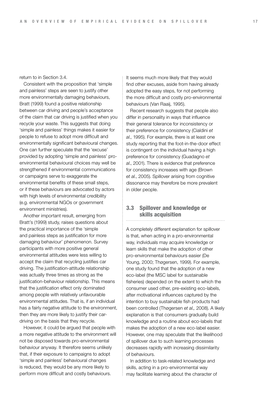return to in Section 3.4.

Consistent with the proposition that 'simple and painless' steps are seen to justify other more environmentally damaging behaviours, Bratt (1999) found a positive relationship between car driving and people's acceptance of the claim that car driving is justified when you recycle your waste. This suggests that doing 'simple and painless' things makes it easier for people to refuse to adopt more difficult and environmentally significant behavioural changes. One can further speculate that the 'excuse' provided by adopting 'simple and painless' proenvironmental behavioural choices may well be strengthened if environmental communications or campaigns serve to exaggerate the environmental benefits of these small steps, or if these behaviours are advocated by actors with high levels of environmental credibility (e.g. environmental NGOs or government environment ministries).

Another important result, emerging from Bratt's (1999) study, raises questions about the practical importance of the 'simple and painless steps as justification for more damaging behaviour' phenomenon. Survey participants with more positive general environmental attitudes were less willing to accept the claim that recycling justifies car driving. The justification-attitude relationship was actually three times as strong as the justification-behaviour relationship. This means that the justification effect only dominated among people with relatively unfavourable environmental attitudes. That is, if an individual has a fairly negative attitude to the environment, then they are more likely to justify their cardriving on the basis that they recycle.

However, it could be argued that people with a more negative attitude to the environment will not be disposed towards pro-environmental behaviour anyway. It therefore seems unlikely that, if their exposure to campaigns to adopt 'simple and painless' behavioural changes is reduced, they would be any more likely to perform more difficult and costly behaviours.

It seems much more likely that they would find other excuses, aside from having already adopted the easy steps, for not performing the more difficult and costly pro-environmental behaviours (Van Raaij, 1995).

Recent research suggests that people also differ in personality in ways that influence their general tolerance for inconsistency or their preference for consistency (Cialdini *et al*., 1995). For example, there is at least one study reporting that the foot-in-the-door effect is contingent on the individual having a high preference for consistency (Guadagno *et al*., 2001). There is evidence that preference for consistency increases with age (Brown *et al.*, 2005). Spillover arising from cognitive dissonance may therefore be more prevalent in older people.

#### 3.3 Spillover and knowledge or skills acquisition

A completely different explanation for spillover is that, when acting in a pro-environmental way, individuals may acquire knowledge or learn skills that make the adoption of other pro-environmental behaviours easier (De Young, 2000; Thøgersen, 1999). For example, one study found that the adoption of a new eco-label (the MSC label for sustainable fisheries) depended on the extent to which the consumer used other, pre-existing eco-labels, after motivational influences captured by the intention to buy sustainable fish products had been controlled (Thøgersen *et al.,* 2008). A likely explanation is that consumers gradually build knowledge and a routine about eco-labels that makes the adoption of a new eco-label easier. However, one may speculate that the likelihood of spillover due to such learning processes decreases rapidly with increasing dissimilarity of behaviours.

In addition to task-related knowledge and skills, acting in a pro-environmental way may facilitate learning about the character of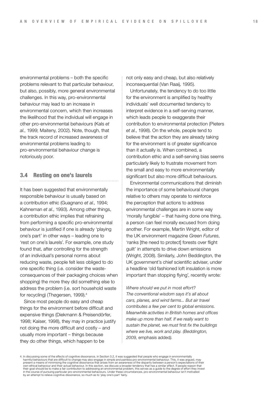environmental problems – both the specific problems relevant to that particular behaviour, but also, possibly, more general environmental challenges. In this way, pro-environmental behaviour may lead to an increase in environmental concern, which then increases the likelihood that the individual will engage in other pro-environmental behaviours (Kals *et al.*, 1999; Maiteny, 2002). Note, though, that the track record of increased awareness of environmental problems leading to pro-environmental behaviour change is notoriously poor.

#### 3.4 Resting on one's laurels

It has been suggested that environmentally responsible behaviour is usually based on a contribution ethic (Guagnano *et al.*, 1994; Kahneman *et al.*, 1993). Among other things, a contribution ethic implies that refraining from performing a specific pro-environmental behaviour is justified if one is already 'playing one's part' in other ways – leading one to 'rest on one's laurels'. For example, one study found that, after controlling for the strength of an individual's personal norms about reducing waste, people felt less obliged to do one specific thing (i.e. consider the wasteconsequences of their packaging choices when shopping) the more they did something else to address the problem (i.e. sort household waste for recycling) (Thøgersen, 1999).4

Since most people do easy and cheap things for the environment before difficult and expensive things (Diekmann & Preisendörfer, 1998; Kaiser, 1998), they may in practice justify not doing the more difficult and costly – and usually more important – things because they do other things, which happen to be

not only easy and cheap, but also relatively inconsequential (Van Raaij, 1995).

Unfortunately, the tendency to do too little for the environment is amplified by healthy individuals' well documented tendency to interpret evidence in a self-serving manner, which leads people to exaggerate their contribution to environmental protection (Pieters *et al.*, 1998). On the whole, people tend to believe that the action they are already taking for the environment is of greater significance than it actually is. When combined, a contribution ethic and a self-serving bias seems particularly likely to frustrate movement from the small and easy to more environmentally significant but also more difficult behaviours.

Environmental communications that diminish the importance of some behavioural changes relative to others may operate to reinforce the perception that actions to address environmental challenges are in some way 'morally fungible' – that having done one thing, a person can feel morally excused from doing another. For example, Martin Wright, editor of the UK environment magazine *Green Futures*, 'ranks [the need to protect] forests over flight guilt' in attempts to drive down emissions (Wright, 2008). Similarly, John Beddington, the UK government's chief scientific adviser, under a headline 'old fashioned loft insulation is more important than stopping flying', recently wrote:

*Where should we put in* most *effort? The conventional wisdom says it's all about cars, planes, and wind farms... But air travel contributes a few per cent to global emissions. Meanwhile activities in British homes and offices make up more than half. If we really want to sustain the planet, we must* first *fix the buildings where we live, work and play. (Beddington, 2009,* emphasis added*).*

4. In discussing some of the effects of cognitive dissonance, in Section 3.2, it was suggested that people who engage in environmentally harmful behaviours that are difficult to change may also engage in simple and painless pro-environmental behaviour. This, it was argued, may<br>present a means of minimising the cognitive dissonance that arises from an awaren their goal should be to make a fair contribution to addressing an environmental problem, this serves as a guide to the degree of effort they invest<br>in the course of pursuing particular pro-environmental behaviours. Under t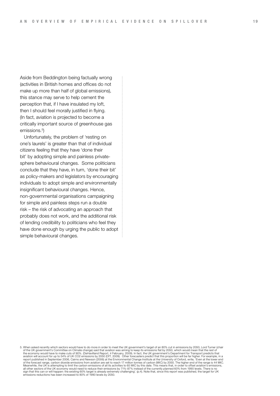Aside from Beddington being factually wrong (activities in British homes and offices do not make up more than half of global emissions), this stance may serve to help cement the perception that, if I have insulated my loft, then I should feel morally justified in flying. (In fact, aviation is projected to become a critically important source of greenhouse gas emissions.<sup>5</sup>)

Unfortunately, the problem of 'resting on one's laurels' is greater than that of individual citizens feeling that they have 'done their bit' by adopting simple and painless privatesphere behavioural changes. Some politicians conclude that they have, in turn, 'done their bit' as policy-makers and legislators by encouraging individuals to adopt simple and environmentally insignificant behavioural changes. Hence, non-governmental organisations campaigning for simple and painless steps run a double risk – the risk of advocating an approach that probably does not work, and the additional risk of lending credibility to politicians who feel they have done enough by urging the public to adopt simple behavioural changes.

<sup>5.</sup> When asked recently which sectors would have to do more in order to meet the UK government's target of an 80% cut in emissions by 2050, Lord Turner (chair of the UK government's Committee on Climate change) said that aviation was aiming to keep its emissions flat by 2050, which would mean that the rest of<br>the economy would have to make cuts of 90%. (DeHavilland Report, 4 Feb of the forecast range, carbon dioxide emissions from aviation are set to reach 17 million tonnes of carbon (MtC) by 2050. The higher end of the range is 44 MtC.<br>Meanwhile, the UK is attempting to limit the carbon emissions sign that this can or will happen: the existing 60% target is already extremely challenging'. (p.4). Note that, since this report was published, the target for UK<br>emissions reductions has been increased to 80% of 1990 leve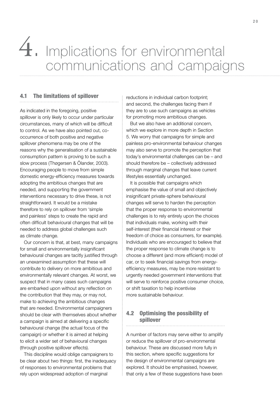## 4. Implications for environmental communications and campaigns

#### 4.1 The limitations of spillover

As indicated in the foregoing, positive spillover is only likely to occur under particular circumstances, many of which will be difficult to control. As we have also pointed out, cooccurrence of both positive and negative spillover phenomena may be one of the reasons why the generalisation of a sustainable consumption pattern is proving to be such a slow process (Thøgersen & Ölander, 2003). Encouraging people to move from simple domestic energy-efficiency measures towards adopting the ambitious changes that are needed, and supporting the government interventions necessary to drive these, is not straightforward. It would be a mistake therefore to rely on spillover from 'simple and painless' steps to create the rapid and often difficult behavioural changes that will be needed to address global challenges such as climate change.

Our concern is that, at best, many campaigns for small and environmentally insignificant behavioural changes are tacitly justified through an unexamined assumption that these will contribute to delivery on more ambitious and environmentally relevant changes. At worst, we suspect that in many cases such campaigns are embarked upon without any reflection on the contribution that they may, or may not, make to achieving the ambitious changes that are needed. Environmental campaigners should be clear with themselves about whether a campaign is aimed at delivering a specific behavioural change (the actual focus of the campaign) or whether it is aimed at helping to elicit a wider set of behavioural changes (through positive spillover effects).

This discipline would oblige campaigners to be clear about two things: first, the inadequacy of responses to environmental problems that rely upon widespread adoption of marginal

reductions in individual carbon footprint; and second, the challenges facing them if they are to use such campaigns as vehicles for promoting more ambitious changes.

But we also have an additional concern, which we explore in more depth in Section 5. We worry that campaigns for simple and painless pro-environmental behaviour changes may also serve to promote the perception that today's environmental challenges can be – and should therefore be – collectively addressed through marginal changes that leave current lifestyles essentially unchanged.

It is possible that campaigns which emphasise the value of small and objectively insignificant private-sphere behavioural changes will serve to harden the perception that the proper response to environmental challenges is to rely entirely upon the choices that individuals make, working with their self-interest (their financial interest or their freedom of choice as consumers, for example). Individuals who are encouraged to believe that the proper response to climate change is to choose a different (and more efficient) model of car, or to seek financial savings from energyefficiency measures, may be more resistant to urgently needed government interventions that will serve to reinforce positive consumer choice, or shift taxation to help incentivise more sustainable behaviour.

#### 4.2 Optimising the possibility of spillover

A number of factors may serve either to amplify or reduce the spillover of pro-environmental behaviour. These are discussed more fully in this section, where specific suggestions for the design of environmental campaigns are explored. It should be emphasised, however, that only a few of these suggestions have been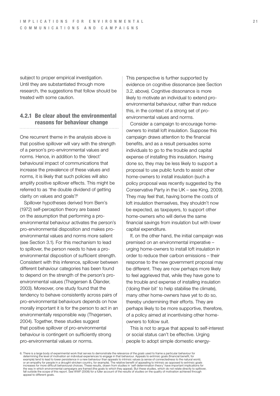subject to proper empirical investigation. Until they are substantiated through more research, the suggestions that follow should be treated with some caution.

#### 4.2.1 Be clear about the environmental reasons for behaviour change

One recurrent theme in the analysis above is that positive spillover will vary with the strength of a person's pro-environmental values and norms. Hence, in addition to the 'direct' behavioural impact of communications that increase the prevalence of these values and norms, it is likely that such policies will also amplify positive spillover effects. This might be referred to as 'the double dividend of getting clarity on values and goals'!6

Spillover hypotheses derived from Bem's (1972) self-perception theory are based on the assumption that performing a proenvironmental behaviour activates the person's pro-environmental disposition and makes proenvironmental values and norms more salient (see Section 3.1). For this mechanism to lead to spillover, the person needs to have a proenvironmental disposition of sufficient strength. Consistent with this inference, spillover between different behaviour categories has been found to depend on the strength of the person's proenvironmental values (Thøgersen & Ölander, 2003). Moreover, one study found that the tendency to behave consistently across pairs of pro-environmental behaviours depends on how morally important it is for the person to act in an environmentally responsible way (Thøgersen, 2004). Together, these studies suggest that positive spillover of pro-environmental behaviour is contingent on sufficiently strong pro-environmental values or norms.

This perspective is further supported by evidence on cognitive dissonance (see Section 3.2, above). Cognitive dissonance is more likely to motivate an individual to extend proenvironmental behaviour, rather than reduce this, in the context of a strong set of proenvironmental values and norms.

Consider a campaign to encourage homeowners to install loft insulation. Suppose this campaign draws attention to the financial benefits, and as a result persuades some individuals to go to the trouble and capital expense of installing this insulation. Having done so, they may be less likely to support a proposal to use public funds to assist other home-owners to install insulation (such a policy proposal was recently suggested by the Conservative Party in the UK – see King, 2009). They may feel that, having borne the costs of loft insulation themselves, they shouldn't now be expected, as taxpayers, to support other home-owners who will derive the same financial savings from insulation but with lower capital expenditure.

If, on the other hand, the initial campaign was premised on an environmental imperative – urging home-owners to install loft insulation in order to reduce their carbon emissions – their response to the new government proposal may be different. They are now perhaps more likely to feel aggrieved that, while they have gone to the trouble and expense of installing insulation ('doing their bit' to help stabilise the climate), many other home-owners have yet to do so, thereby undermining their efforts. They are perhaps likely to be more supportive, therefore, of a policy aimed at incentivising other homeowners to follow suit.

This is not to argue that appeal to self-interest or social status can't be effective. Urging people to adopt simple domestic energy-

<sup>6.</sup> There is a large body of experimental work that serves to demonstrate the relevance of the *goals* used to frame a particular behaviour for determining the level of motivation an individual experiences to engage in that behaviour. Appeals to extrinsic goals (financial benefit, for<br>example) tend to lead to lower persistence in a new behaviour than appeals to in or an empathy for people in a drought-stricken country, for example). The relative benefit of appealing to intrinsic as opposed to extrinsic goals<br>increases for more difficult behavioural choices. These results, drawn from fall outside the scope of this report. See WWF (2008) for a fuller account of the results of studies on the quality of motivation achieved through appeal to different goals.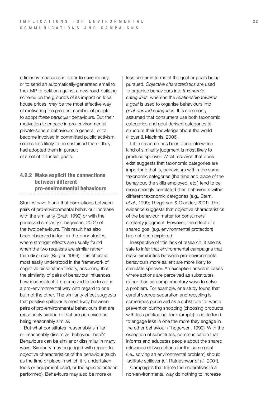efficiency measures in order to save money, or to send an automatically-generated email to their MP to petition against a new road-building scheme on the grounds of its impact on local house prices, *may* be the most effective way of motivating the greatest number of people to adopt *these particular* behaviours. But their motivation to engage in pro-environmental private-sphere behaviours in general, or to become involved in committed public activism, seems less likely to be sustained than if they had adopted them in pursuit of a set of 'intrinsic' goals.

#### 4.2.2 Make explicit the connections between different pro-environmental behaviours

Studies have found that correlations between pairs of pro-environmental behaviour increase with the similarity (Bratt, 1999) or with the perceived similarity (Thøgersen, 2004) of the two behaviours. This result has also been observed in foot-in-the-door studies, where stronger effects are usually found when the two requests are similar rather than dissimilar (Burger, 1999). This effect is most easily understood in the framework of cognitive dissonance theory, assuming that the similarity of pairs of behaviour influences how inconsistent it is perceived to be to act in a pro-environmental way with regard to one but not the other. The similarity effect suggests that positive spillover is most likely between pairs of pro-environmental behaviours that are reasonably similar, or that are perceived as being reasonably similar.

But what constitutes 'reasonably similar' or 'reasonably dissimilar' behaviour here? Behaviours can be similar or dissimilar in many ways. Similarity may be judged with regard to objective characteristics of the behaviour (such as the time or place in which it is undertaken, tools or equipment used, or the specific actions performed). Behaviours may also be more or

less similar in terms of the goal or goals being pursued. *Objective characteristics* are used to organise behaviours into *taxonomic categories*, whereas the *relationship towards a goal* is used to organise behaviours into *goal-derived categories*. It is commonly assumed that consumers use both taxonomic categories and goal-derived categories to structure their knowledge about the world (Hoyer & MacInnis, 2006).

Little research has been done into which kind of similarity judgment is most likely to produce spillover. What research that does exist suggests that taxonomic categories are important: that is, behaviours within the same taxonomic categories (the time and place of the behaviour, the skills employed, etc.) tend to be more strongly correlated than behaviours within different taxonomic categories (e.g., Stern, *et al.*, 1999; Thøgersen & Ölander, 2001). This evidence suggests that objective characteristics of the behaviour matter for consumers' similarity judgment. However, the effect of a shared goal (e.g. environmental protection) has not been explored.

Irrespective of this lack of research, it seems safe to infer that environmental campaigns that make similarities between pro-environmental behaviours more salient are more likely to stimulate spillover. An exception arises in cases where actions are perceived as substitutes rather than as complementary ways to solve a problem. For example, one study found that careful source-separation and recycling is sometimes perceived as a substitute for waste prevention during shopping (choosing products with less packaging, for example): people tend to engage less in one the more they engage in the other behaviour (Thøgersen, 1999). With the exception of substitutes, communication that informs and educates people about the shared relevance of two actions for the same goal (i.e., solving an environmental problem) should facilitate spillover (cf. Ratneshwar *et al*., 2001).

Campaigns that frame the imperatives in a non-environmental way do nothing to increase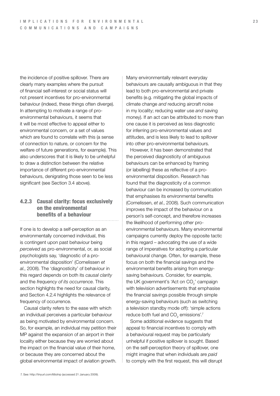the incidence of positive spillover. There are clearly many examples where the pursuit of financial self-interest or social status will not present incentives for pro-environmental behaviour (indeed, these things often diverge). In attempting to motivate a range of proenvironmental behaviours, it seems that it will be most effective to appeal either to environmental concern, or a set of values which are found to correlate with this (a sense of connection to nature, or concern for the welfare of future generations, for example). This also underscores that it is likely to be unhelpful to draw a distinction between the relative importance of different pro-environmental behaviours, denigrating those seen to be less significant (see Section 3.4 above).

#### 4.2.3 Causal clarity: focus exclusively on the environmental benefits of a behaviour

If one is to develop a self-perception as an environmentally concerned individual, this is contingent upon past behaviour being *perceived* as pro-environmental, or, as social psychologists say, 'diagnostic of a proenvironmental disposition' (Cornelissen *et al.*, 2008). The 'diagnosticity' of behaviour in this regard depends on both its *causal clarity* and the *frequency of its occurrence*. This section highlights the need for causal clarity, and Section 4.2.4 highlights the relevance of frequency of occurrence.

Causal clarity refers to the ease with which an individual perceives a particular behaviour as being motivated by environmental concern. So, for example, an individual may petition their MP against the expansion of an airport in their locality either because they are worried about the impact on the financial value of their home, or because they are concerned about the global environmental impact of aviation growth. Many environmentally relevant everyday behaviours are causally ambiguous in that they lead to both pro-environmental and private benefits (e.g. mitigating the global impacts of climate change *and* reducing aircraft noise in my locality; reducing water use *and* saving money). If an act can be attributed to more than one cause it is perceived as less diagnostic for inferring pro-environmental values and attitudes, and is less likely to lead to spillover into other pro-environmental behaviours.

However, it has been demonstrated that the perceived diagnosticity of ambiguous behaviours can be enhanced by framing (or labelling) these as reflective of a proenvironmental disposition. Research has found that the diagnosticity of a common behaviour can be increased by communication that emphasises its environmental benefits (Cornelissen, *et al.*, 2008). Such communication improves the impact of the behaviour on a person's self-concept, and therefore increases the likelihood of performing *other* proenvironmental behaviours. Many environmental campaigns currently deploy the opposite tactic in this regard – advocating the use of a wide range of imperatives for adopting a particular behavioural change. Often, for example, these focus on both the financial savings and the environmental benefits arising from energysaving behaviours. Consider, for example, the UK government's 'Act on CO<sub>2</sub>' campaign with television advertisements that emphasise the financial savings possible through simple energy-saving behaviours (such as switching a television standby mode off): 'simple actions reduce both fuel and CO<sub>2</sub> emissions'.<sup>7</sup>

Some additional evidence suggests that appeal to financial incentives to comply with a behavioural request may be particularly unhelpful if positive spillover is sought. Based on the self-perception theory of spillover, one might imagine that when individuals are *paid* to comply with the first request, this will disrupt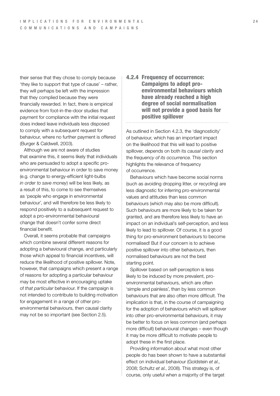their sense that they chose to comply because 'they like to support that type of cause' – rather, they will perhaps be left with the impression that they complied because they were financially rewarded. In fact, there is empirical evidence from foot-in-the-door studies that payment for compliance with the initial request does indeed leave individuals less disposed to comply with a subsequent request for behaviour, where no further payment is offered (Burger & Caldwell, 2003).

Although we are not aware of studies that examine this, it seems likely that individuals who are persuaded to adopt a specific proenvironmental behaviour in order to save money (e.g. change to energy-efficient light-bulbs *in order to save money*) will be less likely, as a result of this, to come to see themselves as 'people who engage in environmental behaviour', and will therefore be less likely to respond positively to a subsequent request to adopt a pro-environmental behavioural change that doesn't confer some direct financial benefit.

Overall, it seems probable that campaigns which combine several different reasons for adopting a behavioural change, and particularly those which appeal to financial incentives, will reduce the likelihood of positive spillover. Note, however, that campaigns which present a range of reasons for adopting a particular behaviour may be most effective in encouraging uptake of *that particular* behaviour. If the campaign is not intended to contribute to building motivation for engagement in a range of other proenvironmental behaviours, then causal clarity may not be so important (see Section 2.5).

4.2.4 Frequency of occurrence: Campaigns to adopt proenvironmental behaviours which have already reached a high degree of social normalisation will not provide a good basis for positive spillover

As outlined in Section 4.2.3, the 'diagnosticity' of behaviour, which has an important impact on the likelihood that this will lead to positive spillover, depends on both its *causal clarity* and the *frequency of its occurrence*. This section highlights the relevance of frequency of occurrence.

Behaviours which have become social norms (such as avoiding dropping litter, or recycling) are less diagnostic for inferring pro-environmental values and attitudes than less common behaviours (which may also be more difficult). Such behaviours are more likely to be taken for granted, and are therefore less likely to have an impact on an individual's self-perception, and less likely to lead to spillover. Of course, it is a good thing for pro-environment behaviours to become normalised! But if our concern is to achieve positive spillover into other behaviours, then normalised behaviours are not the best starting point.

Spillover based on self-perception is less likely to be induced by more prevalent, proenvironmental behaviours, which are often 'simple and painless', than by less common behaviours that are also often more difficult. The implication is that, in the course of campaigning for the adoption of behaviours which will spillover into other pro-environmental behaviours, it may be better to focus on less common (and perhaps more difficult) behavioural changes – even though it may be more difficult to motivate people to adopt these in the first place.

Providing information about what most other people do has been shown to have a substantial effect on individual behaviour (Goldstein *et al*., 2008; Schultz *et al.*, 2008). This strategy is, of course, only useful when a majority of the target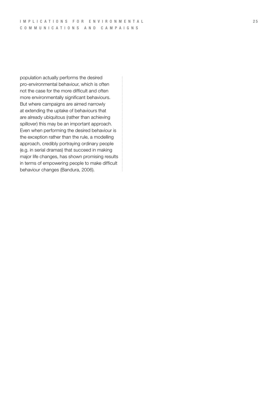population actually performs the desired pro-environmental behaviour, which is often not the case for the more difficult and often more environmentally significant behaviours. But where campaigns are aimed narrowly at extending the uptake of behaviours that are already ubiquitous (rather than achieving spillover) this may be an important approach. Even when performing the desired behaviour is the exception rather than the rule, a modelling approach, credibly portraying ordinary people (e.g. in serial dramas) that succeed in making major life changes, has shown promising results in terms of empowering people to make difficult behaviour changes (Bandura, 2006).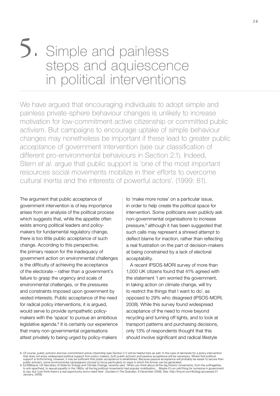### 5. Simple and painless steps and aquiescence in political interventions

We have argued that encouraging individuals to adopt simple and painless private-sphere behaviour changes is unlikely to increase motivation for low-commitment active citizenship or committed public activism. But campaigns to encourage uptake of simple behaviour changes may nonetheless be important if these lead to greater public *acceptance* of government intervention (see our classification of different pro-environmental behaviours in Section 2.1). Indeed, Stern *et al*, argue that public support is 'one of the most important resources social movements mobilize in their efforts to overcome cultural inertia and the interests of powerful actors'. (1999: 81).

The argument that public acceptance of government intervention is of key importance arises from an analysis of the political process which suggests that, while the appetite often exists among political leaders and policymakers for fundamental regulatory change, there is too little public acceptance of such change. According to this perspective, the primary reason for the inadequacy of government action on environmental challenges is the difficulty of achieving the acceptance of the electorate – rather than a government's failure to grasp the urgency and scale of environmental challenges, or the pressures and constraints imposed upon government by vested interests. Public acceptance of the need for radical policy interventions, it is argued, would serve to provide sympathetic policymakers with the 'space' to pursue an ambitious legislative agenda.<sup>8</sup> It is certainly our experience that many non-governmental organisations attest privately to being urged by policy-makers

to 'make more noise' on a particular issue, in order to help create the political space for intervention. Some politicians even publicly ask non-governmental organisations to increase pressure,<sup>9</sup> although it has been suggested that such calls may represent a shrewd attempt to deflect blame for inaction, rather than reflecting a real frustration on the part of decision-makers at being constrained by a lack of electoral acceptability.

A recent IPSOS-MORI survey of more than 1,000 UK citizens found that 41% agreed with the statement 'I am worried the government, in taking action on climate change, will try to restrict the things that I want to do', as opposed to 29% who disagreed (IPSOS-MORI, 2008). While this survey found widespread acceptance of the need to move beyond recycling and turning off lights, and to look at transport patterns and purchasing decisions, only 13% of respondents thought that this should involve significant and radical lifestyle

<sup>8.</sup> Of course, public activism and low-commitment active citizenship (see Section 2.1) will be helpful here as well. In the case of demands for a policy intervention that does not enjoy widespread political support from policy-makers, *both* public activism and passive acceptance will be necessary. Where that political<br>support from policy-makers, *both* public accivism and passive acce

January, 2009).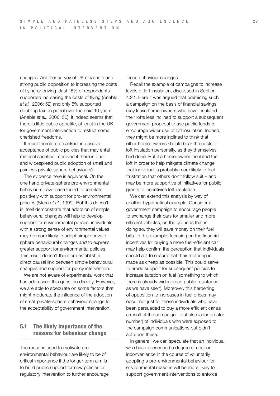changes. Another survey of UK citizens found strong public opposition to increasing the costs of flying or driving. Just 15% of respondents supported increasing the costs of flying (Anable *et al.*, 2006: 52) and only 6% supported doubling tax on petrol over the next 10 years (Anable *et al.*, 2006: 50). It indeed seems that there is little public appetite, at least in the UK, for government intervention to restrict some cherished freedoms.

It must therefore be asked: is passive acceptance of public policies that may entail material sacrifice improved if there is prior and widespread public adoption of small and painless private-sphere behaviours?

The evidence here is equivocal. On the one hand private-sphere pro-environmental behaviours have been found to correlate positively with support for pro-environmental policies (Stern *et al.*, 1999). But this doesn't in itself demonstrate that adoption of simple behavioural changes will help to develop support for environmental polices: individuals with a strong sense of environmental values may be more likely to adopt simple privatesphere behavioural changes *and* to express greater support for environmental policies. This result doesn't therefore establish a direct causal link between simple behavioural changes and support for policy intervention.

We are not aware of experimental work that has addressed this question directly. However, we are able to speculate on some factors that might moderate the influence of the adoption of small private-sphere behaviour change for the acceptability of government intervention.

#### 5.1 The likely importance of the reasons for behaviour change

The reasons used to motivate proenvironmental behaviour are likely to be of critical importance if the longer-term aim is to build public support for new policies or regulatory intervention to further encourage these behaviour changes.

Recall the example of campaigns to increase levels of loft insulation, discussed in Section 4.2.1. Here it was argued that premising such a campaign on the basis of financial savings may leave home-owners who have insulated their lofts less inclined to support a subsequent government proposal to use public funds to encourage wider use of loft insulation. Indeed, they might be more inclined to think that other home-owners should bear the costs of loft insulation personally, as they themselves had done. But if a home-owner insulated the loft in order to help mitigate climate change, that individual is probably more likely to feel frustration that others don't follow suit – and may be more supportive of initiatives for public grants to incentivise loft insulation.

We can extend this analysis by way of another hypothetical example. Consider a government campaign to encourage people to exchange their cars for smaller and more efficient vehicles, on the grounds that in doing so, they will save money on their fuel bills. In this example, focusing on the financial incentives for buying a more fuel-efficient car may help confirm the perception that individuals should act to ensure that their motoring is made as cheap as possible. This could serve to erode support for subsequent policies to increase taxation on fuel (something to which there is already widespread public resistance, as we have seen). Moreover, this hardening of opposition to increases in fuel prices may occur not just for those individuals who have been persuaded to buy a more efficient car as a result of the campaign – but also (a far greater number) of individuals who were exposed to the campaign communications but didn't act upon these.

In general, we can speculate that an individual who has experienced a degree of cost or inconvenience in the course of voluntarily adopting a pro-environmental behaviour for environmental reasons will be more likely to support government interventions to enforce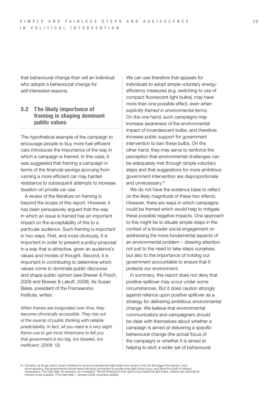that behavioural change than will an individual who adopts a behavioural change for self-interested reasons.

#### 5.2 T he likely importance of framing in shaping dominant public values

The hypothetical example of the campaign to encourage people to buy more fuel-efficient cars introduces the importance of the way in which a campaign is framed. In this case, it was suggested that framing a campaign in terms of the financial savings accruing from running a more efficient car may harden resistance to subsequent attempts to increase taxation on private car use.

A review of the literature on framing is beyond the scope of this report. However, it has been persuasively argued that the way in which an issue is framed has an important impact on the acceptability of this to a particular audience. Such framing is important in two ways. First, and most obviously, it is important in order to present a policy-proposal in a way that is attractive, given an audience's values and modes of thought. Second, it is important in *contributing to determine* which values come to dominate public discourse and shape public opinion (see Brewer & Frisch, 2008 and Brewer & Lakoff, 2008). As Susan Bales, president of the Frameworks Institute, writes:

*When frames are invigorated over time, they become chronically accessible. They rise out of the swamp of public thinking with reliable predictability. In fact, all you need is a very slight frame cue to get most Americans to tell you that government is too big, too bloated, too inefficient. (2008: 12)*

We can see therefore that appeals for individuals to adopt simple voluntary energyefficiency measures (e.g. switching to use of compact fluorescent light bulbs), may have more than one possible effect, *even when explicitly framed in environmental terms.* On the one hand, such campaigns may increase awareness of the environmental impact of incandescent bulbs, and therefore increase public support for government intervention to ban these bulbs. On the other hand, they may serve to reinforce the perception that environmental challenges can be adequately met through simple voluntary steps and that suggestions for more ambitious government intervention are disproportionate and unnecessary.10

We do not have the evidence base to reflect on the likely magnitude of these two effects. However, there are ways in which campaigns could be framed which would help to mitigate these possible negative impacts. One approach to this might be to situate simple steps in the context of a broader social engagement on addressing the more fundamental aspects of an environmental problem – drawing attention not just to the need to take steps ourselves, but also to the importance of holding our government accountable to ensure that it protects our environment.

In summary, this report does not deny that positive spillover may occur under some circumstances. But it does caution strongly against reliance upon positive spillover as a strategy for delivering ambitious environmental change. We believe that environmental communicators and campaigners should be clear with themselves about whether a campaign is aimed at delivering a specific behavioural change (the actual focus of the campaign) or whether it is aimed at helping to elicit a wider set of behavioural

<sup>10.</sup> Certainly, as things stand, recent initiatives to remove incandescent light bulbs from shops in the UK did trigger the reaction, from<br>some quarters, that governments should leave individual consumers to decide what lig newspapers: The Daily Mail, for example, ran a headline: 'Revolt! Robbed of their right to buy traditional light bulbs, millions are clearing the shelves of last supplies' (The Daily Mail, 7 January 2009, emphasis added).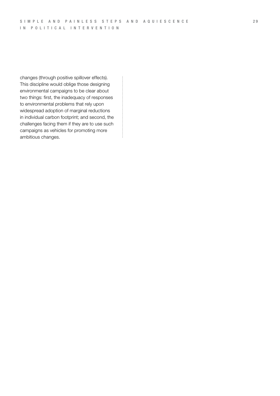changes (through positive spillover effects). This discipline would oblige those designing environmental campaigns to be clear about two things: first, the inadequacy of responses to environmental problems that rely upon widespread adoption of marginal reductions in individual carbon footprint; and second, the challenges facing them if they are to use such campaigns as vehicles for promoting more ambitious changes.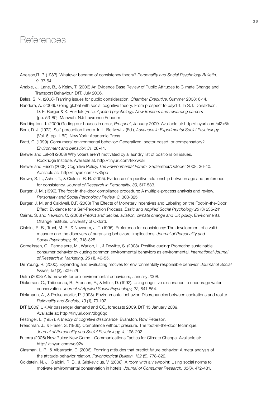### References

- Abelson,R. P. (1983). Whatever became of consistency theory? *Personality and Social Psychology Bulletin, 9*, 37-54.
- Anable, J., Lane, B., & Kelay, T. (2006) An Evidence Base Review of Public Attitudes to Climate Change and Transport Behaviour, DfT, July 2006.
- Bales, S. N. (2008) Framing issues for public consideration, *Chamber Executive*, Summer 2008: 6-14.
- Bandura, A. (2006). Going global with social cognitive theory: From prospect to paydirt. In S. I. Donaldson,

D. E. Berger & K. Pezdek (Eds.), *Applied psychology. New frontiers and rewarding careers*  . (pp. 53-80). Mahwah, NJ: Lawrence Erlbaum

- Beddington, J. (2009) Getting our houses in order, *Prospect*, January 2009. Available at: http://tinyurl.com/al2x6h
- Bem, D. J. (1972). Self-perception theory. In L. Berkowitz (Ed.), *Advances in Experimental Social Psychology* (Vol. 6, pp. 1-62). New York: Academic Press.
- Bratt, C. (1999). Consumers' environmental behavior: Generalized, sector-based, or compensatory? *Environment and behavior, 31*, 28-44.
- Brewer and Lakoff (2008) Why voters aren't motivated by a laundry list of positions on issues. Rockridge Institute. Available at: http://tinyurl.com/8k7wd8
- Brewer and Frisch (2008) Cognitive Policy, *The Environmental Forum*, September/October 2008, 36-40. Available at: http://tinyurl.com/7v85pc
- Brown, S. L., Asher, T., & Cialdini, R. B. (2005). Evidence of a positive relationship between age and preference for consistency. *Journal of Research in Personality, 39*, 517-533.
- Burger, J. M. (1999). The foot-in-the-door compliance procedure: A multiple-process analysis and review. *Personality and Social Psychology Review, 3*, 303-325.
- Burger, J. M. and Caldwell, D.F. (2003) The Effects of Monetary Incentives and Labeling on the Foot-in-the-Door Effect: Evidence for a Self-Perception Process. *Basic and Applied Social Psychology 25* (3) 235-241
- Cairns, S. and Newson, C. (2006) *Predict and decide: aviation, climate change and UK policy*, Environmental Change Institute, University of Oxford.
- Cialdini, R. B., Trost, M. R., & Newsom, J. T. (1995). Preference for consistency: The development of a valid measure and the discovery of surprising behavioral implications. *Journal of Personality and Social Psychology, 69,* 318-328.
- Cornelissen, G., Pandelaere, M., Warlop, L., & Dewitte, S. (2008). Positive cueing: Promoting sustainable consumer behavior by cueing common environmental behaviors as environmental. *International Journal of Research in Marketing, 25* (1), 46-55.
- De Young, R. (2000). Expanding and evaluating motives for environmentally responsible behavior. *Journal of Social Issues, 56* (3), 509-526.
- Defra (2008) A framework for pro-environmental behaviours, January 2008.
- Dickerson, C., Thibodeau, R., Aronson, E., & Miller, D. (1992). Using cognitive dissonance to encourage water conservation. *Journal of Applied Social Psychology, 22*, 841-854.
- Diekmann, A., & Preisendörfer, P. (1998). Environmental behavior: Discrepancies between aspirations and reality. *Rationality and Society, 10 (*1), 79-102.
- DfT (2009) UK Air passenger demand and CO<sub>2</sub> forecasts 2009, DfT 15 January 2009. Available at: http://tinyurl.com/dbg6qc
- Festinger, L. (1957). *A theory of cognitive dissonance*. Evanston: Row Peterson.
- Freedman, J., & Fraser, S. (1966). Compliance without pressure: The foot-in-the-door technique. *Journal of Personality and Social Psychology, 4*, 195-202.
- Futerra (2006) New Rules: New Game Communications Tactics for Climate Change. Available at: http:/ /tinyurl.com/yoj92v
- Glasman, L. R., & Albarracín, D. (2006). Forming attitudes that predict future behavior: A meta-analysis of the attitude-behavior relation. *Psychological Bulletin, 132* (5), 778-822.
- Goldstein, N. J., Cialdini, R. B., & Griskevicius, V. (2008). A room with a viewpoint: Using social norms to motivate environmental conservation in hotels. *Journal of Consumer Research, 35*(3), 472-481.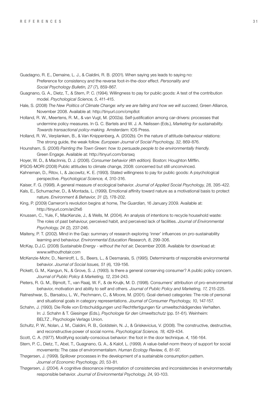- Guadagno, R. E., Demaine, L. J., & Cialdini, R. B. (2001). When saying yes leads to saying no: Preference for consistency and the reverse foot-in-the-door effect. *Personality and Social Psychology Bulletin, 27* (7), 859-867.
- Guagnano, G. A., Dietz, T., & Stern, P. C. (1994). Willingness to pay for public goods: A test of the contribution model. *Psychological Science, 5*, 411-415.
- Hale, S. (2008) *The New Politics of Climate Change: why we are failing and how we will succeed*, Green Alliance, November 2008. Available at: http://tinyurl.com/cmp8ot
- Holland, R. W., Meertens, R. M., & van Vugt, M. (2002a). Self-justification among car-drivers: processes that undermine policy measures. In G. C. Bartels and W. J. A. Nelissen (Eds.), *Marketing for sustainability. Towards transactional policy-making.* Amsterdam: IOS Press.
- Holland, R. W., Verplanken, B., & Van Knippenberg, A. (2002b). On the nature of attitude-behaviour relations: The strong guide, the weak follow. *European Journal of Social Psychology, 32*, 869-876.
- Hounsham, S. (2006) *Painting the Town Green: how to persuade people to be environmentally friendly.*  Green Engage. Available at: http://tinyurl.com/bsrsxq
- Hoyer, W. D., & MacInnis, D. J. (2006). *Consumer behavior (4th edition).* Boston: Houghton Mifflin.
- IPSOS-MORI (2008) Public attitudes to climate change, 2008: concerned but still unconvinced.
- Kahneman, D., Ritov, I., & Jacowitz, K. E. (1993). Stated willingness to pay for public goods: A psychological perspective. *Psychological Science, 4,* 310-316.
- Kaiser, F. G. (1998). A general measure of ecological behavior. *Journal of Applied Social Psychology, 28,* 395-422.
- Kals, E., Schumacher, D., & Montada, L. (1999). Emotional affinity toward nature as a motivational basis to protect nature. *Environment & Behavior, 31* (2), 178-202.
- King, P. (2009) Cameron's revolution begins at home, *The Guardian*, 16 January 2009. Available at: http://tinyurl.com/an2fx6
- Knussen, C., Yule, F., MacKenzie, J., & Wells, M. (2004). An analysis of intentions to recycle household waste: The roles of past behaviour, perceived habit, and perceived lack of facilities. *Journal of Environmental Psychology, 24 (*2), 237-246.
- Maiteny, P. T. (2002). Mind in the Gap: summary of research exploring 'inner' influences on pro-sustainability learning and behaviour. *Environmental Education Research, 8*, 299-306.
- McKay, D.J.C. (2008) *Sustainable Energy without the hot air,* December 2008. Available for download at: www.withouthotair.com
- McKenzie-Mohr, D., Nemiroff, L. S., Beers, L., & Desmarais, S. (1995). Determinants of responsible environmental behavior. *Journal of Social Issues, 51* (4), 139-156.
- Pickett, G. M., Kangun, N., & Grove, S. J. (1993). Is there a general conserving consumer? A public policy concern. *Journal of Public Policy & Marketing, 12*, 234-243.
- Pieters, R. G. M., Bijmolt, T., van Raaij, W. F., & de Kruijk, M. D. (1998). Consumers' attribution of pro-environmental behavior, motivation and ability to self and others. *Journal of Public Policy and Marketing, 17,* 215-225.
- Ratneshwar, S., Barsalou, L. W., Pechmann, C., & Moore, M. (2001). Goal-derived categories: The role of personal and situational goals in category representations. *Journal of Consumer Psychology, 10*, 147-157.
- Schahn, J. (1993). Die Rolle von Entschuldigungen und Rechtfertigungen für umweltschädigendes Verhalten. In: J. Schahn & T. Giesinger (Eds.), *Psychologie für den Umweltschutz* (pp. 51-61). Weinheim: BELTZ , Psychologie Verlags Union.
- Schultz, P. W., Nolan, J. M., Cialdini, R. B., Goldstein, N. J., & Griskevicius, V. (2008). The constructive, destructive, and reconstructive power of social norms. *Psychological Science, 18,* 429-434.
- Scott, C. A. (1977). Modifying socially-conscious behavior: the foot in the door technique. *4*, 156-164.
- Stern, P. C., Dietz, T., Abel, T., Guagnano, G. A., & Kalof, L. (1999). A value-belief-norm theory of support for social movements: The case of environmentalism. *Human Ecology Review, 6,* 81-97.
- Thøgersen, J. (1999). Spillover processes in the development of a sustainable consumption pattern. *Journal of Economic Psychology, 20*, 53-81.
- Thøgersen, J. (2004). A cognitive dissonance interpretation of consistencies and inconsistencies in environmentally responsible behavior. *Journal of Environmental Psychology, 24*, 93-103.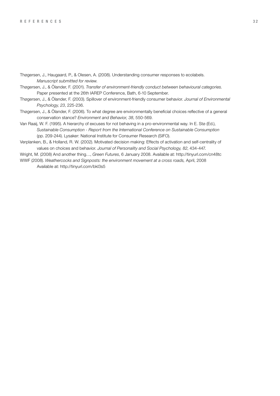- Thøgersen, J., Haugaard, P., & Olesen, A. (2008). Understanding consumer responses to ecolabels. *Manuscript submitted for review.*
- Thøgersen, J., & Ölander, F. (2001). *Transfer of environment-friendly conduct between behavioural categories.*  Paper presented at the 26th IAREP Conference, Bath, 6-10 September.
- Thøgersen, J., & Ölander, F. (2003). Spillover of environment-friendly consumer behavior. *Journal of Environmental Psychology, 23*, 225-236.
- Thøgersen, J., & Ölander, F. (2006). To what degree are environmentally beneficial choices reflective of a general conservation stance? *Environment and Behavior, 38*, 550-569.
- Van Raaij, W. F. (1995). A hierarchy of excuses for not behaving in a pro-environmental way. In E. Stø (Ed.), *Sustainable Consumption - Report from the International Conference on Sustainable Consumption*  (pp. 209-244). Lysaker: National Institute for Consumer Research (SIFO).
- Verplanken, B., & Holland, R. W. (2002). Motivated decision making: Effects of activation and self-centrality of values on choices and behavior. *Journal of Personality and Social Psychology, 82*, 434-447.
- Wright, M. (2008) And another thing…, *Green Futures*, 6 January 2008. Available at: http://tinyurl.com/cn48tc WWF (2008). *Weathercocks and Signposts: the environment movement at a cross roads,* April, 2008

Available at: http://tinyurl.com/bkl3s5